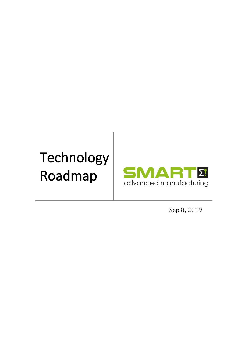# Technology Roadmap



Sep 8, 2019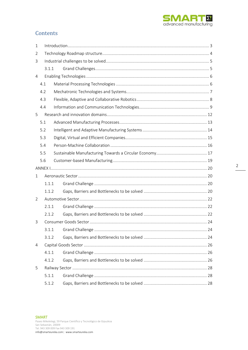

### Contents

| 1              |       |  |  |
|----------------|-------|--|--|
| 2              |       |  |  |
| 3              |       |  |  |
|                | 3.1.1 |  |  |
| $\overline{4}$ |       |  |  |
|                | 4.1   |  |  |
|                | 4.2   |  |  |
|                | 4.3   |  |  |
|                | 4.4   |  |  |
| 5              |       |  |  |
|                | 5.1   |  |  |
|                | 5.2   |  |  |
|                | 5.3   |  |  |
|                | 5.4   |  |  |
|                | 5.5   |  |  |
|                | 5.6   |  |  |
|                |       |  |  |
| 1              |       |  |  |
|                | 1.1.1 |  |  |
|                | 1.1.2 |  |  |
| 2              |       |  |  |
|                | 2.1.1 |  |  |
|                | 2.1.2 |  |  |
| 3              |       |  |  |
|                |       |  |  |
|                | 3.1.2 |  |  |
| 4              |       |  |  |
|                | 4.1.1 |  |  |
|                | 4.1.2 |  |  |
| 5              |       |  |  |
|                | 5.1.1 |  |  |
|                | 5.1.2 |  |  |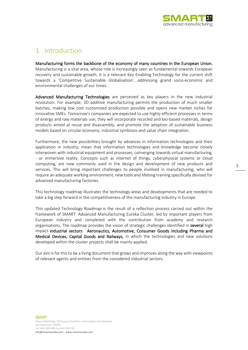

### <span id="page-2-0"></span>1 Introduction

Manufacturing forms the backbone of the economy of many countries in the European Union. Manufacturing is a vital area, whose role is increasingly seen as fundamental towards European recovery and sustainable growth. It is a relevant Key Enabling Technology for the current shift towards a 'Competitive Sustainable Globalisation', addressing grand socio-economic and environmental challenges of our times.

Advanced Manufacturing Technologies are perceived as key players in the new industrial revolution. For example, 3D additive manufacturing permits the production of much smaller batches, making low cost customised production possible and opens new market niches for innovative SMEs. Tomorrow's companies are expected to use highly efficient processes in terms of energy and raw materials use; they will incorporate recycled and bio-based materials, design products aimed at reuse and disassembly, and promote the adoption of sustainable business models based on circular economy, industrial symbiosis and value chain integration.

Furthermore, the new possibilities brought by advances in information technologies and their application in industry, mean that information technologies and knowledge become closely interwoven with industrial equipment and processes, converging towards virtual manufacturing, - or immersive reality. Concepts such as internet of things, cyberphysical systems or cloud computing, are now commonly used in the design and development of new products and services. This will bring important challenges to people involved in manufacturing, who will require an adequate working environment, new tools and lifelong training specifically devised for advanced manufacturing factories.

This technology roadmap illustrates the technology areas and developments that are needed to take a big step forward in the competitiveness of the manufacturing industry in Europe.

This updated Technology Roadmap is the result of a reflection process carried out within the framework of SMART: Advanced Manufacturing Eureka Cluster, led by important players from European industry and completed with the contribution from academy and research organisations. The roadmap provides the vision of strategic challenges identified in several high impact industrial sectors: Aeronautics, Automotive, Consumer Goods including Pharma and Medical Devices, Capital Goods and Railways, in which the technologies and new solutions developed within the cluster projects shall be mainly applied.

Our aim is for this to be a living document that grows and improves along the way with viewpoints of relevant agents and entities from the considered industrial sectors.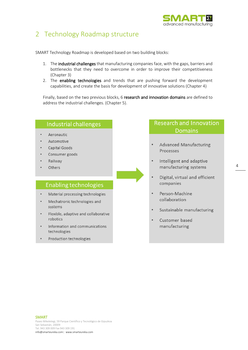

### <span id="page-3-0"></span>2 Technology Roadmap structure

SMART Technology Roadmap is developed based on two building blocks:

- 1. The industrial challenges that manufacturing companies face, with the gaps, barriers and bottlenecks that they need to overcome in order to improve their competitiveness (Chapter 3)
- 2. The enabling technologies and trends that are pushing forward the development capabilities, and create the basis for development of innovative solutions (Chapter 4)

Finally, based on the two previous blocks, 6 research and innovation domains are defined to address the industrial challenges. (Chapter 5).

## Industrial challenges Aeronautic Automotive Capital Goods Consumer goods Railway Others **Enabling technologies**

- Material processing technologies  $\bullet$
- Mechatronic technologies and systems
- Flexible, adaptive and collaborative robotics
- Information and communications technologies
- Production technologies

### **Research and Innovation Domains**

- **Advanced Manufacturing** Processes
- Intelligent and adaptive manufacturing systems
- Digital, virtual and efficient companies
- Person-Machine collaboration
- Sustainable manufacturing
- Customer based manufacturing

4

### SMART

Paseo Mikeletegi, 59 Parque Científico y Tecnológico de Gipuzkoa San Sebastián, 20009 Tel. 943 309 009 Fax 943 309 191

info@smarteureka.com| www.smarteureka.com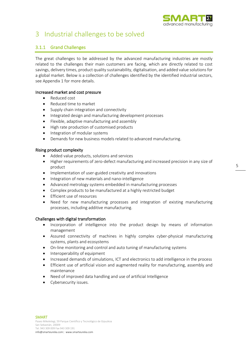

### <span id="page-4-0"></span>3 Industrial challenges to be solved

### <span id="page-4-1"></span>3.1.1 Grand Challenges

The great challenges to be addressed by the advanced manufacturing industries are mostly related to the challenges their main customers are facing, which are directly related to cost savings, delivery times, product quality sustainability, digitalisation, and added value solutions for a global market. Below is a collection of challenges identified by the identified industrial sectors, see Appendix 1 for more details.

### Increased market and cost pressure

- Reduced cost
- Reduced time to market
- Supply chain integration and connectivity
- Integrated design and manufacturing development processes
- Flexible, adaptive manufacturing and assembly
- High rate production of customised products
- Integration of modular systems
- Demands for new business models related to advanced manufacturing.

### Rising product complexity

- Added value products, solutions and services
- Higher requirements of zero-defect manufacturing and increased precision in any size of product
- Implementation of user-guided creativity and innovations
- Integration of new materials and nano-intelligence
- Advanced metrology systems embedded in manufacturing processes
- Complex products to be manufactured at a highly restricted budget
- Efficient use of resources
- Need for new manufacturing processes and integration of existing manufacturing processes, including additive manufacturing.

### Challenges with digital transformation

- Incorporation of intelligence into the product design by means of information management
- Assured connectivity of machines in highly complex cyber-physical manufacturing systems, plants and ecosystems
- On-line monitoring and control and auto tuning of manufacturing systems
- Interoperability of equipment
- Increased demands of simulations, ICT and electronics to add intelligence in the process
- Efficient use of artificial vision and augmented reality for manufacturing, assembly and maintenance
- Need of improved data handling and use of artificial Intelligence
- Cybersecurity issues.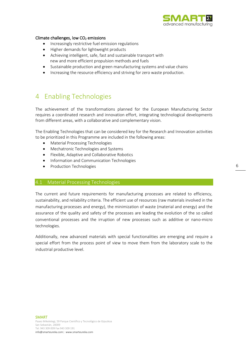

### Climate challenges, low  $CO<sub>2</sub>$  emissions

- Increasingly restrictive fuel emission regulations
- Higher demands for lightweight products
- Achieving intelligent, safe, fast and sustainable transport with new and more efficient propulsion methods and fuels
- Sustainable production and green manufacturing systems and value chains
- Increasing the resource efficiency and striving for zero waste production.

### <span id="page-5-0"></span>4 Enabling Technologies

The achievement of the transformations planned for the European Manufacturing Sector requires a coordinated research and innovation effort, integrating technological developments from different areas, with a collaborative and complementary vision.

The Enabling Technologies that can be considered key for the Research and Innovation activities to be prioritized in this Programme are included in the following areas:

- Material Processing Technologies
- Mechatronic Technologies and Systems
- Flexible, Adaptive and Collaborative Robotics
- Information and Communication Technologies
- Production Technologies

### <span id="page-5-1"></span>4.1 Material Processing Technologies

The current and future requirements for manufacturing processes are related to efficiency, sustainability, and reliability criteria. The efficient use of resources (raw materials involved in the manufacturing processes and energy), the minimization of waste (material and energy) and the assurance of the quality and safety of the processes are leading the evolution of the so called conventional processes and the irruption of new processes such as additive or nano-micro technologies.

Additionally, new advanced materials with special functionalities are emerging and require a special effort from the process point of view to move them from the laboratory scale to the industrial productive level.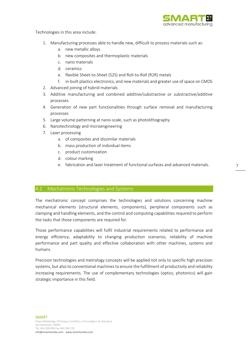

Technologies in this area include:

- 1. Manufacturing processes able to handle new, difficult to process materials such as:
	- a. new metallic alloys
	- b. new composites and thermoplastic materials
	- c. nano materials
	- d. ceramics
	- e. flexible Sheet-to-Sheet (S2S) and Roll-to-Roll (R2R) metals
	- f. in-built plastics electronics, and new materials and greater use of space on CMOS
- 2. Advanced joining of hybrid materials
- 3. Additive manufacturing and combined additive/substractive or substractive/additive processes
- 4. Generation of new part functionalities through surface removal and manufacturing processes
- 5. Large volume patterning at nano-scale, such as photolithography
- 6. Nanotechnology and microengineering
- 7. Laser processing
	- a. of composites and dissimilar materials
	- b. mass production of individual items
	- c. product customization
	- d. colour marking
	- e. fabrication and laser treatment of functional surfaces and advanced materials.

### <span id="page-6-0"></span>4.2 Mechatronic Technologies and Systems

The mechatronic concept comprises the technologies and solutions concerning machine mechanical elements (structural elements, components), peripheral components such as clamping and handling elements, and the control and computing capabilities required to perform the tasks that those components are required for.

Those performance capabilities will fulfil industrial requirements related to performance and energy efficiency, adaptability to changing production scenarios, reliability of machine performance and part quality and effective collaboration with other machines, systems and humans.

Precision technologies and metrology concepts will be applied not only to specific high precision systems, but also to conventional machines to ensure the fulfillment of productivity and reliability increasing requirements. The use of complementary technologies (optics, photonics) will gain strategic importance in this field.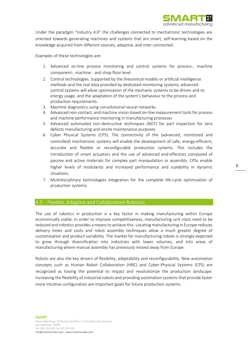

Under the paradigm "Industry 4.0" the challenges connected to mechatronic technologies are oriented towards generating machines and systems that are smart, self-learning based on the knowledge acquired from different sources, adaptive, and inter-connected.

Examples of these technologies are:

- 1. Advanced on-line process monitoring and control systems for process-, machine component-, machine - and shop floor level.
- 2. Control technologies. Supported by the theoretical models or artificial intelligence methods and the real data provided by dedicated monitoring systems, advanced control systems will allow optimisation of the mechanic systems to be driven and its energy usage, and the adaptation of the system's behaviour to the process and production requirements.
- 3. Machine diagnostics using convolutional neural networks.
- 4. Advanced non-contact, and machine vision-based on-line measurement toolsfor process and machine performance monitoring in manufacturing processes
- 5. Advanced automated non-destructive techniques (NDT) for part inspection for zero defects manufacturing and onsite maintenance purposes.
- 6. Cyber Physical Systems (CPS). The connectivity of the (advanced, monitored and controlled) mechatronic systems will enable the development of safe, energy-efficient, accurate and flexible or reconfigurable production systems. This includes the introduction of smart actuators and the use of advanced end-effectors composed of passive and active materials for complex part manipulation or assembly. CPSs enable higher levels of modularity and increased performance and scalability in dynamic situations.
- 7. Multidisciplinary technologies integration for the complete life-cycle optimisation of production systems.

### <span id="page-7-0"></span>4.3 Flexible, Adaptive and Collaborative Robotics

The use of robotics in production is a key factor in making manufacturing within Europe economically viable. In order to improve competitiveness, manufacturing unit costs need to be reduced and robotics provides a means to achieve this. Locating manufacturing in Europe reduces delivery times and costs and robot assembly techniques allow a much greater degree of customisation and product variability. The market for manufacturing robots is strongly expected to grow through diversification into industries with lower volumes, and into areas of manufacturing where manual assembly has previously moved away from Europe.

Robots are also the key drivers of flexibility, adaptability and reconfigurability. New automation concepts such as Human Robot Collaboration (HRC) and Cyber-Physical Systems (CPS) are recognized as having the potential to impact and revolutionize the production landscape. Increasing the flexibility of industrial robots and providing automation systems that provide faster more intuitive configuration are important goals for future production systems.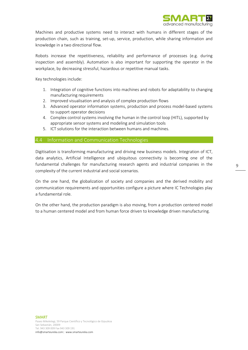

Machines and productive systems need to interact with humans in different stages of the production chain, such as training, set-up, service, production, while sharing information and knowledge in a two directional flow.

Robots increase the repetitiveness, reliability and performance of processes (e.g. during inspection and assembly). Automation is also important for supporting the operator in the workplace, by decreasing stressful, hazardous or repetitive manual tasks.

Key technologies include:

- 1. Integration of cognitive functions into machines and robots for adaptability to changing manufacturing requirements
- 2. Improved visualisation and analysis of complex production flows
- 3. Advanced operator information systems, production and process model-based systems to support operator decisions
- 4. Complex control systems involving the human in the control loop (HITL), supported by appropriate sensor systems and modeling and simulation tools
- 5. ICT solutions for the interaction between humans and machines.

### <span id="page-8-0"></span>4.4 Information and Communication Technologies

Digitisation is transforming manufacturing and driving new business models. Integration of ICT, data analytics, Artificial Intelligence and ubiquitous connectivity is becoming one of the fundamental challenges for manufacturing research agents and industrial companies in the complexity of the current industrial and social scenarios.

On the one hand, the globalization of society and companies and the derived mobility and communication requirements and opportunities configure a picture where IC Technologies play a fundamental role.

On the other hand, the production paradigm is also moving, from a production centered model to a human centered model and from human force driven to knowledge driven manufacturing.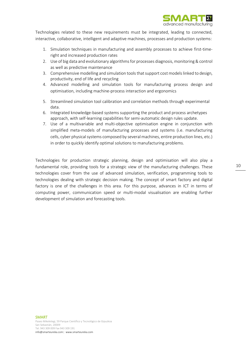

Technologies related to these new requirements must be integrated, leading to connected, interactive, collaborative, intelligent and adaptive machines, processes and production systems:

- 1. Simulation techniques in manufacturing and assembly processes to achieve first-timeright and increased production rates
- 2. Use of big data and evolutionary algorithms for processes diagnosis, monitoring & control as well as predictive maintenance
- 3. Comprehensive modelling and simulation toolsthat support cost models linked to design, productivity, end of life and recycling
- 4. Advanced modelling and simulation tools for manufacturing process design and optimisation, including machine-process interaction and ergonomics
- 5. Streamlined simulation tool calibration and correlation methods through experimental data.
- 6. Integrated knowledge-based systems supporting the product and process archetypes approach, with self-learning capabilities for semi-automatic design rules update.
- 7. Use of a multivariable and multi-objective optimisation engine in conjunction with simplified meta-models of manufacturing processes and systems (i.e. manufacturing cells, cyber physical systems composed by several machines, entire production lines, etc.) in order to quickly identify optimal solutions to manufacturing problems.

Technologies for production strategic planning, design and optimisation will also play a fundamental role, providing tools for a strategic view of the manufacturing challenges. These technologies cover from the use of advanced simulation, verification, programming tools to technologies dealing with strategic decision making. The concept of smart factory and digital factory is one of the challenges in this area. For this purpose, advances in ICT in terms of computing power, communication speed or multi-modal visualisation are enabling further development of simulation and forecasting tools.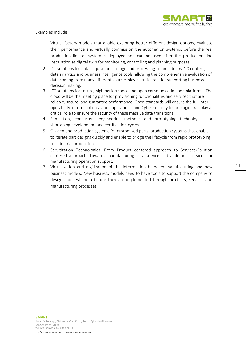

Examples include:

- 1. Virtual factory models that enable exploring better different design options, evaluate their performance and virtually commission the automation systems, before the real production line or system is deployed and can be used after the production line installation as digital twin for monitoring, controlling and planning purposes
- 2. ICT solutions for data acquisition, storage and processing. In an industry 4.0 context, data analytics and business intelligence tools, allowing the comprehensive evaluation of data coming from many different sources play a crucial role for supporting business decision making.
- 3. ICT solutions for secure, high performance and open communication and platforms. The cloud will be the meeting place for provisioning functionalities and services that are reliable, secure, and guarantee performance. Open standards will ensure the full interoperability in terms of data and applications, and Cyber security technologies will play a critical role to ensure the security of these massive data transitions.
- 4. Simulation, concurrent engineering methods and prototyping technologies for shortening development and certification cycles.
- 5. On-demand production systems for customized parts, production systems that enable to iterate part designs quickly and enable to bridge the lifecycle from rapid prototyping to industrial production.
- 6. Servitization Technologies. From Product centered approach to Services/Solution centered approach. Towards manufacturing as a service and additional services for manufacturing operation support.
- 7. Virtualization and digitization of the interrelation between manufacturing and new business models. New business models need to have tools to support the company to design and test them before they are implemented through products, services and manufacturing processes.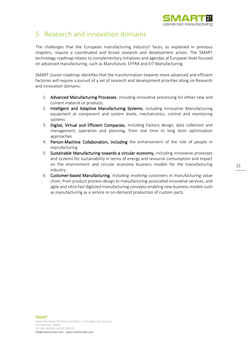

### <span id="page-11-0"></span>5 Research and innovation domains

The challenges that the European manufacturing industry? faces, as explained in previous chapters, require a coordinated and broad research and development action. The SMART technology roadmap relates to complementary initiatives and agendas at European level focused on advanced manufacturing, such as Manufuture, EFFRA and EIT Manufacturing.

SMART cluster roadmap identifies that the transformation towards more advanced and efficient factories will require a pursuit of a set of research and development priorities along six Research and innovation domains:

- 1. Advanced Manufacturing Processes, including innovative processing for either new and current material or products.
- 2. Intelligent and Adaptive Manufacturing Systems, including Innovative Manufacturing equipment at component and system levels, mechatronics, control and monitoring systems
- 3. Digital, Virtual and Efficient Companies, including Factory design, data collection and management, operation and planning, from real time to long term optimisation approaches
- 4. Person-Machine Collaboration, including the enhancement of the role of people in manufacturing
- 5. Sustainable Manufacturing towards a circular economy, including innovative processes and systems for sustainability in terms of energy and resource consumption and impact on the environment and circular economy business models for the manufacturing industry.
- 6. Customer-based Manufacturing, including involving customers in manufacturing value chain, from product process design to manufacturing associated innovative services, and agile and ultra-fast digitized manufacturing concepts enabling new business models such as manufacturing as a service or on-demand production of custom parts.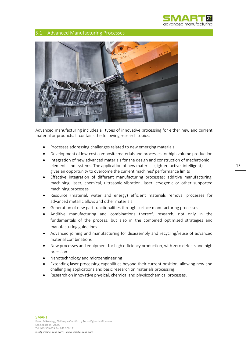

### <span id="page-12-0"></span>5.1 Advanced Manufacturing Processes



Advanced manufacturing includes all types of innovative processing for either new and current material or products. It contains the following research topics:

- Processes addressing challenges related to new emerging materials
- Development of low-cost composite materials and processes for high volume production
- Integration of new advanced materials for the design and construction of mechatronic elements and systems. The application of new materials (lighter, active, intelligent) gives an opportunity to overcome the current machines' performance limits
- Effective integration of different manufacturing processes: additive manufacturing, machining, laser, chemical, ultrasonic vibration, laser, cryogenic or other supported machining processes
- Resource (material, water and energy) efficient materials removal processes for advanced metallic alloys and other materials
- Generation of new part functionalities through surface manufacturing processes
- Additive manufacturing and combinations thereof, research, not only in the fundamentals of the process, but also in the combined optimised strategies and manufacturing guidelines
- Advanced joining and manufacturing for disassembly and recycling/reuse of advanced material combinations
- New processes and equipment for high efficiency production, with zero defects and high precision
- Nanotechnology and microengineering
- Extending laser processing capabilities beyond their current position, allowing new and challenging applications and basic research on materials processing.
- Research on innovative physical, chemical and physicochemical processes.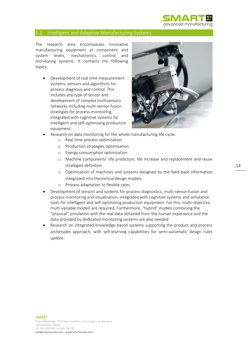

### <span id="page-13-0"></span>5.2 Intelligent and Adaptive Manufacturing Systems

The research area encompasses innovative manufacturing equipment at component and system levels, mechatronics, control and monitoring systems. It contains the following topics:

• Development of real time measurement systems, sensors and algorithms for process diagnosis and control. This includes any type of sensor and development of complex multisensory networks including multi-sensor fusion strategies for process monitoring, integrated with cognitive systems for intelligent and self-optimising production equipment.



- Research on data monitoring for the whole manufacturing life cycle:
	- o Real time process optimisation
	- o Production strategies optimisation
	- o Energy consumption optimisation
	- o Machine components' life prediction, life increase and replacement and reuse strategies definition
	- o Optimisation of machines and systems designed by the feed-back information integrated into theoretical design models
	- o Process adaptation to flexible rates
- Development of sensors and systems for process diagnostics, multi-sensor fusion and process monitoring and visualisation, integrated with cognitive systems and simulation tools for intelligent and self-optimising production equipment. For this, multi-objective, multi-variable models are required. Furthermore, "hybrid" models combining the "physical" simulation with the real data obtained from the human experience and the data provided by dedicated monitoring systems are also needed
- Research on integrated knowledge-based systems supporting the product and process archetypes approach, with self-learning capabilities for semi-automatic design rules update.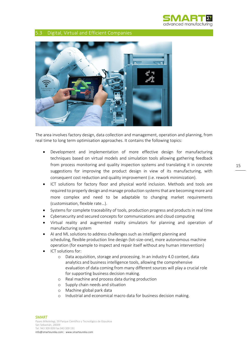

### <span id="page-14-0"></span>5.3 Digital, Virtual and Efficient Companies



The area involves factory design, data collection and management, operation and planning, from real time to long term optimisation approaches. It contains the following topics:

- Development and implementation of more effective design for manufacturing techniques based on virtual models and simulation tools allowing gathering feedback from process monitoring and quality inspection systems and translating it in concrete suggestions for improving the product design in view of its manufacturing, with consequent cost reduction and quality improvement (i.e. rework minimization).
- ICT solutions for factory floor and physical world inclusion. Methods and tools are required to properly design and manage production systems that are becoming more and more complex and need to be adaptable to changing market requirements (customisation, flexible rate…).
- Systems for complete traceability of tools, production progress and products in real time
- Cybersecurity and secured concepts for communications and cloud computing
- Virtual reality and augmented reality simulators for planning and operation of manufacturing system
- AI and ML solutions to address challenges such as intelligent planning and scheduling, flexible production line design (lot-size-one), more autonomous machine operation (for example to inspect and repair itself without any human intervention)
- ICT solutions for:
	- o Data acquisition, storage and processing. In an industry 4.0 context, data analytics and business intelligence tools, allowing the comprehensive evaluation of data coming from many different sources will play a crucial role for supporting business decision making.
	- o Real machine and process data during production
	- o Supply chain needs and situation
	- o Machine global park data
	- o Industrial and economical macro data for business decision making.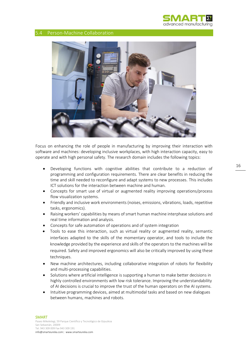

### <span id="page-15-0"></span>5.4 Person-Machine Collaboration



Focus on enhancing the role of people in manufacturing by improving their interaction with software and machines: developing inclusive workplaces, with high interaction capacity, easy to operate and with high personal safety. The research domain includes the following topics:

- Developing functions with cognitive abilities that contribute to a reduction of programming and configuration requirements. There are clear benefits in reducing the time and skill needed to reconfigure and adapt systems to new processes. This includes ICT solutions for the interaction between machine and human.
- Concepts for smart use of virtual or augmented reality improving operations/process flow visualization systems.
- Friendly and inclusive work environments (noises, emissions, vibrations, loads, repetitive tasks, ergonomics).
- Raising workers' capabilities by means of smart human machine interphase solutions and real time information and analysis.
- Concepts for safe automation of operations and of system integration
- Tools to ease this interaction, such as virtual reality or augmented reality, semantic interfaces adapted to the skills of the momentary operator, and tools to include the knowledge provided by the experience and skills of the operators to the machines will be required. Safety and improved ergonomics will also be critically improved by using these techniques.
- New machine architectures, including collaborative integration of robots for flexibility and multi-processing capabilities.
- Solutions where artificial intelligence is supporting a human to make better decisions in highly controlled environments with low risk tolerance. Improving the understandability of AI decisions is crucial to improve the trust of the human operators on the AI systems.
- Intuitive programming devices, aimed at multimodal tasks and based on new dialogues between humans, machines and robots.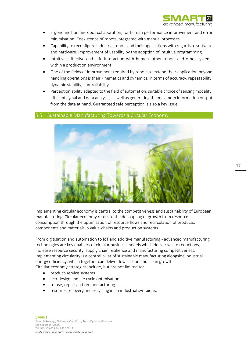

- Ergonomic human-robot collaboration, for human performance improvement and error minimisation. Coexistence of robots integrated with manual processes.
- Capability to reconfigure industrial robots and their applications with regards to software and hardware. Improvement of usability by the adoption of Intuitive programming
- Intuitive, effective and safe Interaction with human, other robots and other systems within a production environment.
- One of the fields of improvement required by robots to extend their application beyond handling operations is their kinematics and dynamics, in terms of accuracy, repeatability, dynamic stability, controllability.
- Perception ability adapted to the field of automation, suitable choice of sensing modality, efficient signal and data analysis, as well as generating the maximum information output from the data at hand. Guaranteed safe perception is also a key issue.

### <span id="page-16-0"></span>5.5 Sustainable Manufacturing Towards a Circular Economy



Implementing circular economy is central to the competitiveness and sustainability of European manufacturing. Circular economy refers to the decoupling of growth from resource consumption through the optimisation of resource flows and recirculation of products, components and materials in value-chains and production systems.

From digitisation and automation to IoT and additive manufacturing - advanced manufacturing technologies are key enablers of circular business models which deliver waste reductions, increase resource security, supply chain resilience and manufacturing competitiveness. Implementing circularity is a central pillar of sustainable manufacturing alongside industrial energy efficiency, which together can deliver low carbon and clean growth. Circular economy strategies include, but are not limited to:

- product-service systems
- eco-design and life cycle optimisation
- re-use, repair and remanufacturing
- resource recovery and recycling in an industrial symbiosis.

#### SMART Paseo Mikeletegi, 59 Parque Científico y Tecnológico de Gipuzkoa San Sebastián, 20009 Tel. 943 309 009 Fax 943 309 191 info@smarteureka.com| www.smarteureka.com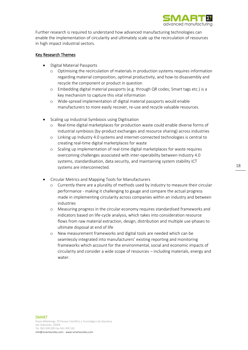

Further research is required to understand how advanced manufacturing technologies can enable the implementation of circularity and ultimately scale up the recirculation of resources in high impact industrial sectors.

### Key Research Themes

- Digital Material Passports
	- o Optimising the recirculation of materials in production systems requires information regarding material composition, optimal productivity, and how-to disassembly and recycle the component or product in question
	- o Embedding digital material passports (e.g. through QR codes; Smart tags etc.) is a key mechanism to capture this vital information
	- o Wide-spread implementation of digital material passports would enable manufacturers to more easily recover, re-use and recycle valuable resources.
- Scaling up Industrial Symbiosis using Digitisation
	- o Real-time digital marketplaces for production waste could enable diverse forms of industrial symbiosis (by-product exchanges and resource sharing) across industries
	- o Linking up Industry 4.0 systems and internet-connected technologies is central to creating real-time digital marketplaces for waste
	- o Scaling up implementation of real-time digital marketplaces for waste requires overcoming challenges associated with inter-operability between Industry 4.0 systems, standardisation, data security, and maintaining system stability ICT systems are interconnected.
- Circular Metrics and Mapping Tools for Manufacturers
	- Currently there are a plurality of methods used by industry to measure their circular performance - making it challenging to gauge and compare the actual progress made in implementing circularity across companies within an industry and between industries
	- o Measuring progress in the circular economy requires standardised frameworks and indicators based on life-cycle analysis, which takes into consideration resource flows from raw material extraction, design, distribution and multiple use-phases to ultimate disposal at end of life
	- o New measurement frameworks and digital tools are needed which can be seamlessly integrated into manufacturers' existing reporting and monitoring frameworks which account for the environmental, social and economic impacts of circularity and consider a wide scope of resources – including materials, energy and water.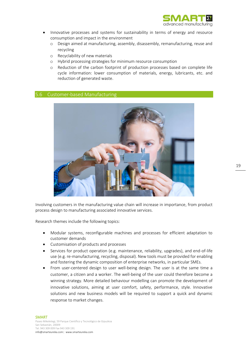

- Innovative processes and systems for sustainability in terms of energy and resource consumption and impact in the environment
	- o Design aimed at manufacturing, assembly, disassembly, remanufacturing, reuse and recycling
	- o Recyclability of new materials
	- o Hybrid processing strategies for minimum resource consumption
	- o Reduction of the carbon footprint of production processes based on complete life cycle information: lower consumption of materials, energy, lubricants, etc. and reduction of generated waste.

### <span id="page-18-0"></span>5.6 Customer-based Manufacturing



Involving customers in the manufacturing value chain will increase in importance, from product process design to manufacturing associated innovative services.

Research themes include the following topics:

- Modular systems, reconfigurable machines and processes for efficient adaptation to customer demands
- Customisation of products and processes
- Services for product operation (e.g. maintenance, reliability, upgrades), and end-of-life use (e.g. re-manufacturing, recycling, disposal). New tools must be provided for enabling and fostering the dynamic composition of enterprise networks, in particular SMEs.
- From user-centered design to user well-being design. The user is at the same time a customer, a citizen and a worker. The well-being of the user could therefore become a winning strategy. More detailed behaviour modelling can promote the development of innovative solutions, aiming at user comfort, safety, performance, style. Innovative solutions and new business models will be required to support a quick and dynamic response to market changes.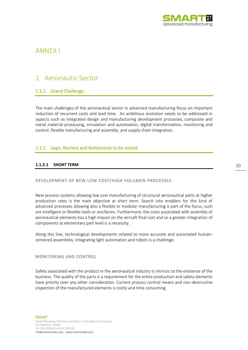

### <span id="page-19-0"></span>ANNEX I

### <span id="page-19-1"></span>1 Aeronautic Sector

### <span id="page-19-2"></span>1.1.1 Grand Challenge

The main challenges of the aeronautical sector in advanced manufacturing focus on important reduction of recurrent costs and lead time. An ambitious evolution needs to be addressed in aspects such as integrated design and manufacturing development processes, composite and metal material processing, simulation and automation, digital transformation, monitoring and control, flexible manufacturing and assembly, and supply chain integration.

### <span id="page-19-3"></span>1.1.2 Gaps, Barriers and Bottlenecks to be solved

### **1.1.2.1 SHORT TERM**

DEVELOPMENT OF NEW LOW COST/HIGH VOLUMEN PROCESSES:

New process systems allowing low cost manufacturing of structural aeronautical parts at higher production rates is the main objective at short term. Search into enablers for this kind of advanced processes allowing also a flexible or modular manufacturing is part of the focus, such are intelligent or flexible tools or ancillaries. Furthermore, the costs associated with assembly of aeronautical elements has a high impact on the aircraft final cost and so a greater integration of components at elementary part level is a necessity.

Along this line, technological developments related to more accurate and automated humancentered assemblies, integrating light automation and robots is a challenge.

MONITORING AND CONTROL

Safety associated with the product in the aeronautical industry is intrinsic to the existence of the business. The quality of the parts is a requirement for the entire production and safety elements have priority over any other consideration. Current process control means and non-destructive inspection of the manufactured elements is costly and time consuming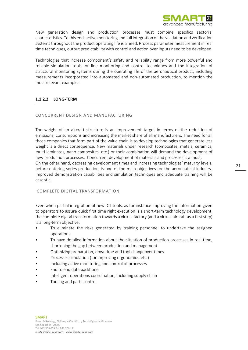

New generation design and production processes must combine specifics sectorial characteristics. To this end, active monitoring and full integration of the validation and verification systems throughout the product operating life is a need. Process parameter measurement in real time techniques, output predictability with control and action over inputs need to be developed.

Technologies that increase component´s safety and reliability range from more powerful and reliable simulation tools, on-line monitoring and control techniques and the integration of structural monitoring systems during the operating life of the aeronautical product, including measurements incorporated into automated and non-automated production, to mention the most relevant examples.

### **1.1.2.2 LONG-TERM**

### CONCURRENT DESIGN AND MANUFACTURING

The weight of an aircraft structure is an improvement target in terms of the reduction of emissions, consumptions and increasing the market share of all manufacturers. The need for all those companies that form part of the value chain is to develop technologies that generate less weight is a direct consequence. New materials under research (composites, metals, ceramics, multi-laminates, nano-composites, etc.) or their combination will demand the development of new production processes. Concurrent development of materials and processes is a must.

On the other hand, decreasing development times and increasing technologies´ maturity levels, before entering series production, is one of the main objectives for the aeronautical industry. Improved demonstration capabilities and simulation techniques and adequate training will be essential.

### COMPLETE DIGITAL TRANSFORMATION

Even when partial integration of new ICT tools, as for instance improving the information given to operators to assure quick first time right execution is a short-term technology development, the complete digital transformation towards a virtual factory (and a virtual aircraft as a first step) is a long-term objective:

- To eliminate the risks generated by training personnel to undertake the assigned operations
- To have detailed information about the situation of production processes in real time, shortening the gap between production and management
- Optimizing preparation, downtime and tool changeover times
- Processes simulation (for improving ergonomics, etc.)
- Including active monitoring and control of processes
- End to end data backbone
- Intelligent operations coordination, including supply chain
- Tooling and parts control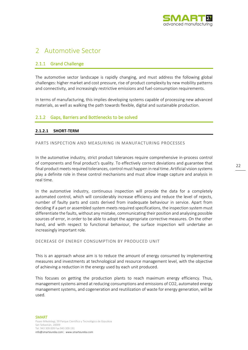

### <span id="page-21-0"></span>2 Automotive Sector

### <span id="page-21-1"></span>2.1.1 Grand Challenge

The automotive sector landscape is rapidly changing, and must address the following global challenges: higher market and cost pressure, rise of product complexity by new mobility patterns and connectivity, and increasingly restrictive emissions and fuel-consumption requirements.

In terms of manufacturing, this implies developing systems capable of processing new advanced materials, as well as walking the path towards flexible, digital and sustainable production.

### <span id="page-21-2"></span>2.1.2 Gaps, Barriers and Bottlenecks to be solved

### **2.1.2.1 SHORT-TERM**

#### PARTS INSPECTION AND MEASURING IN MANUFACTURING PROCESSES

In the automotive industry, strict product tolerances require comprehensive in-process control of components and final product's quality. To effectively correct deviations and guarantee that final product meets required tolerances, control must happen in real time. Artificial vision systems play a definite role in these control mechanisms and must allow image capture and analysis in real time.

In the automotive industry, continuous inspection will provide the data for a completely automated control, which will considerably increase efficiency and reduce the level of rejects, number of faulty parts and costs derived from inadequate behaviour in service. Apart from deciding if a part or assembled system meets required specifications, the inspection system must differentiate the faults, without any mistake, communicating their position and analysing possible sources of error, in order to be able to adopt the appropriate corrective measures. On the other hand, and with respect to functional behaviour, the surface inspection will undertake an increasingly important role.

#### DECREASE OF ENERGY CONSUMPTION BY PRODUCED UNIT

This is an approach whose aim is to reduce the amount of energy consumed by implementing measures and investments at technological and resource management level, with the objective of achieving a reduction in the energy used by each unit produced.

This focuses on getting the production plants to reach maximum energy efficiency. Thus, management systems aimed at reducing consumptions and emissions of CO2, automated energy management systems, and cogeneration and reutilization of waste for energy generation, will be used.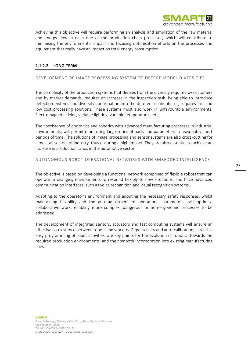

Achieving this objective will require performing an analysis and simulation of the raw material and energy flow in each one of the production chain processes, which will contribute to minimising the environmental impact and focusing optimisation efforts on the processes and equipment that really have an impact on total energy consumption.

### **2.1.2.2 LONG-TERM**

### DEVELOPMENT OF IMAGE PROCESSING SYSTEM TO DETECT MODEL DIVERSITIES

The complexity of the production systems that derives from the diversity required by customers and by market demands, requires an increase in the inspection task. Being able to introduce detection systems and diversity confirmation into the different chain phases, requires fast and low cost processing solutions. These systems must also work in unfavourable environments: Electromagnetic fields, variable lighting, variable temperatures, etc.

The coexistence of photonics and robotics with advanced manufacturing processes in industrial environments, will permit monitoring large series of parts and parameters in reasonably short periods of time. The solutions of image processing and sensor systems are also cross-cutting for almost all sectors of industry, thus ensuring a high impact. They are also essential to achieve an increase in production ratios in the automotive sector.

#### AUTONOMOUS ROBOT OPERATIONAL NETWORKS WITH EMBEDDED INTELLIGENCE

The objective is based on developing a functional network comprised of flexible robots that can operate in changing environments to respond flexibly to new situations, and have advanced communication interfaces, such as voice recognition and visual recognition systems.

Adapting to the operator's environment and adopting the necessary safety responses, whilst maintaining flexibility and the auto-adjustment of operational parameters, will optimise collaborative work, enabling more complex, dangerous or non-ergonomic processes to be addressed.

The development of integrated sensors, actuators and fast computing systems will ensure an effective co-existence between robots and workers. Repeatability and auto-calibration, as well as easy programming of robot activities, are key points for the evolution of robotics towards the required production environments, and their smooth incorporation into existing manufacturing lines.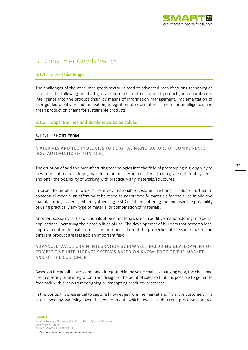

### <span id="page-23-0"></span>3 Consumer Goods Sector

### <span id="page-23-1"></span>3.1.1 Grand Challenge

The challenges of the consumer goods sector related to advanced manufacturing technologies focus on the following points: high rate production of customised products, incorporation of intelligence into the product chain by means of information management, implementation of user-guided creativity and innovation, integration of new materials and nano-intelligence, and green production chains for sustainable products.

### <span id="page-23-2"></span>3.1.2 Gaps, Barriers and Bottlenecks to be solved

### **3.1.2.1 SHORT-TERM**

MATERIALS AND TECHNOLOGIES FOR DIGITAL MANUFACTURE OF COMPONENTS (EG: AUTOMATIC 3D PRINTING)

The eruption of additive manufacturing technologies into the field of prototyping is giving way to new forms of manufacturing, which, in the mid-term, must tend to integrate different systems and offer the possibility of working with practically any materials/structures.

In order to be able to work at relatively reasonable costs in functional products, further to conceptual models, an effort must be made to adapt/modify materials for their use in additive manufacturing systems, either syntherising, FMD or others, offering the end user the possibility of using practically any type of material or combination of materials.

Another possibility is the functionalization of materials used in additive manufacturing for special applications, increasing their possibilities of use. The development of builders that permit a local improvement in deposition precision or modification of the properties of the same material in different product areas is also an important field.

ADVANCED VALUE CHAIN INTEGRATION SOFTWARE, INCLUDING DEVELOPMENT OF COMPETITIVE INTELLIGENCE SYSTEMS BASED ON KNOWLEDGE OF THE MARKET AND OF THE CUSTOMER

Based on the possibility of companies integrated in the value chain exchanging data, the challenge lies in offering total integration from design to the point of sale, so that it is possible to generate feedback with a view to redesigning or readapting products/processes.

In this context, it is essential to capture knowledge from the market and from the customer. This is achieved by watching over the environment, which results in different processes: source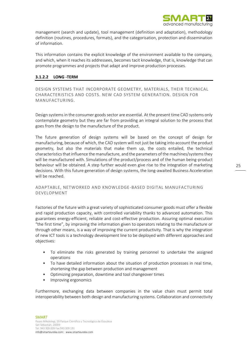

management (search and update), tool management (definition and adaptation), methodology definition (routines, procedures, formats), and the categorisation, protection and dissemination of information.

This information contains the explicit knowledge of the environment available to the company, and which, when it reaches its addressees, becomes tacit knowledge, that is, knowledge that can promote programmes and projects that adapt and improve production processes.

### **3.1.2.2 LONG -TERM**

DESIGN SYSTEMS THAT INCORPORATE GEOMETRY, MATERIALS, THEIR TECHNICAL CHARACTERISTICS AND COSTS. NEW CAD SYSTEM GENERATION. DESIGN FOR MANUFACTURING.

Design systems in the consumer goods sector are essential. At the present time CAD systems only contemplate geometry but they are far from providing an integral solution to the process that goes from the design to the manufacture of the product.

The future generation of design systems will be based on the concept of design for manufacturing, because of which, the CAD system will not just be taking into account the product geometry, but also the materials that make them up, the costs entailed, the technical characteristics that influence the manufacture, and the parameters of the machines/systems they will be manufactured with. Simulations of the product/process and of the human being-product behaviour will be obtained. A step further would even give rise to the integration of marketing decisions. With this future generation of design systems, the long-awaited Business Acceleration will be reached.

### ADAPTABLE, NETWORKED AND KNOWLEDGE-BASED DIGITAL MANUFACTURING DEVELOPMENT

Factories of the future with a great variety of sophisticated consumer goods must offer a flexible and rapid production capacity, with controlled variability thanks to advanced automation. This guarantees energy-efficient, reliable and cost-effective production. Assuring optimal execution "the first time", by improving the information given to operators relating to the manufacture or through other means, is a way of improving the current productivity. That is why the integration of new ICT tools is a technology development line to be deployed with different approaches and objectives:

- To eliminate the risks generated by training personnel to undertake the assigned operations
- To have detailed information about the situation of production processes in real time, shortening the gap between production and management
- Optimizing preparation, downtime and tool changeover times
- Improving ergonomics

Furthermore, exchanging data between companies in the value chain must permit total interoperability between both design and manufacturing systems. Collaboration and connectivity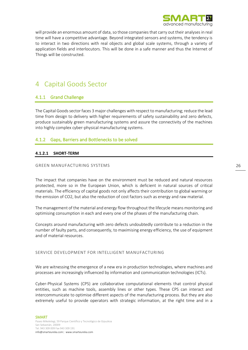

will provide an enormous amount of data, so those companies that carry out their analyses in real time will have a competitive advantage. Beyond integrated sensors and systems, the tendency is to interact in two directions with real objects and global scale systems, through a variety of application fields and interlocutors. This will be done in a safe manner and thus the Internet of Things will be constructed.

### <span id="page-25-0"></span>4 Capital Goods Sector

### <span id="page-25-1"></span>4.1.1 Grand Challenge

The Capital Goods sector faces 3 major challenges with respect to manufacturing; reduce the lead time from design to delivery with higher requirements of safety sustainability and zero defects, produce sustainably green manufacturing systems and assure the connectivity of the machines into highly complex cyber-physical manufacturing systems.

### <span id="page-25-2"></span>4.1.2 Gaps, Barriers and Bottlenecks to be solved

### **4.1.2.1 SHORT-TERM**

### GREEN MANUFACTURING SYSTEMS

The impact that companies have on the environment must be reduced and natural resources protected, more so in the European Union, which is deficient in natural sources of critical materials. The efficiency of capital goods not only affects their contribution to global warming or the emission of CO2, but also the reduction of cost factors such as energy and raw material.

The management of the material and energy flow throughout the lifecycle means monitoring and optimising consumption in each and every one of the phases of the manufacturing chain.

Concepts around manufacturing with zero defects undoubtedly contribute to a reduction in the number of faulty parts, and consequently, to maximising energy efficiency, the use of equipment and of material resources.

### SERVICE DEVELOPMENT FOR INTELLIGENT MANUFACTURING

We are witnessing the emergence of a new era in production technologies, where machines and processes are increasingly influenced by information and communication technologies (ICTs).

Cyber-Physical Systems (CPS) are collaborative computational elements that control physical entities, such as machine tools, assembly lines or other types. These CPS can interact and intercommunicate to optimise different aspects of the manufacturing process. But they are also extremely useful to provide operators with strategic information, at the right time and in a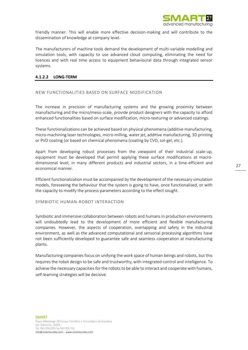

friendly manner. This will enable more effective decision-making and will contribute to the dissemination of knowledge at company level.

The manufacturers of machine tools demand the development of multi-variable modelling and simulation tools, with capacity to use advanced cloud computing, eliminating the need for licences and with real time access to equipment behavioural data through integrated sensor systems.

### **4.1.2.2 LONG-TERM**

### NEW FUNCTIONALITIES BASED ON SURFACE MODIFICATION

The increase in precision of manufacturing systems and the growing proximity between manufacturing and the micro/meso-scale, provide product designers with the capacity to afford enhanced functionalities based on surface modification, micro-texturing or advanced coatings.

These functionalizations can be achieved based on physical phenomena (additive manufacturing, micro-machining laser technologies, micro-milling, water jet, additive manufacturing, 3D printing or PVD coating (or based on chemical phenomena (coating by CVD, sol-gel, etc.).

Apart from developing robust processes from the viewpoint of their industrial scale-up, equipment must be developed that permit applying these surface modifications at macrodimensional level, in many different products and industrial sectors, in a time-efficient and economical manner.

Efficient functionalization must be accompanied by the development of the necessary simulation models, foreseeing the behaviour that the system is going to have, once functionalised, or with the capacity to modify the process parameters according to the effect sought.

SYMBIOTIC HUMAN-ROBOT INTERACTION

Symbiotic and immersive collaboration between robots and humans in production environments will undoubtedly lead to the development of more efficient and flexible manufacturing companies. However, the aspects of cooperation, overlapping and safety in the industrial environment, as well as the advanced computational and sensorial processing algorithms have not been sufficiently developed to guarantee safe and seamless cooperation at manufacturing plants.

Manufacturing companies focus on unifying the work space of human beings and robots, but this requires the robot design to be safe and trustworthy, with integrated control and intelligence. To achieve the necessary capacities for the robots to be able to interact and cooperate with humans, self-learning strategies will be decisive.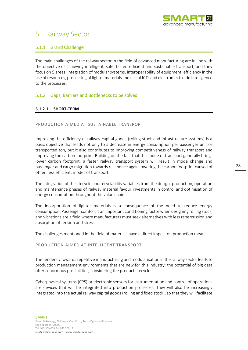

### <span id="page-27-0"></span>5 Railway Sector

### <span id="page-27-1"></span>5.1.1 Grand Challenge

The main challenges of the railway sector in the field of advanced manufacturing are in line with the objective of achieving intelligent, safe, faster, efficient and sustainable transport, and they focus on 5 areas: integration of modular systems, interoperability of equipment, efficiency in the use of resources, processing of lighter materials and use of ICTs and electronics to add intelligence to the processes.

### <span id="page-27-2"></span>5.1.2 Gaps, Barriers and Bottlenecks to be solved

### **5.1.2.1 SHORT-TERM**

#### PRODUCTION AIMED AT SUSTAINABLE TRANSPORT

Improving the efficiency of railway capital goods (rolling stock and infrastructure systems) is a basic objective that leads not only to a decrease in energy consumption per passenger unit or transported ton, but it also contributes to improving competitiveness of railway transport and improving the carbon footprint. Building on the fact that this mode of transport generally brings lower carbon footprint, a faster railway transport system will result in mode change and passenger and cargo migration towards rail, hence again lowering the carbon footprint caused of other, less efficient, modes of transport.

The integration of the lifecycle and recyclability variables from the design, production, operation and maintenance phases of railway material favour investments in control and optimisation of energy consumption throughout the value chain.

The incorporation of lighter materials is a consequence of the need to reduce energy consumption. Passenger comfort is an important conditioning factor when designing rolling stock, and vibrations are a field where manufacturers must seek alternatives with less repercussion and absorption of tension and stress.

The challenges mentioned in the field of materials have a direct impact on production means.

#### PRODUCTION AIMED AT INTELLIGENT TRANSPORT

The tendency towards repetitive manufacturing and modularisation in the railway sector leads to production management environments that are new for this industry: the potential of big data offers enormous possibilities, considering the product lifecycle.

Cyberphysical systems (CPS) or electronic sensors for instrumentation and control of operations are devices that will be integrated into production processes. They will also be increasingly integrated into the actual railway capital goods (rolling and fixed stock), so that they will facilitate